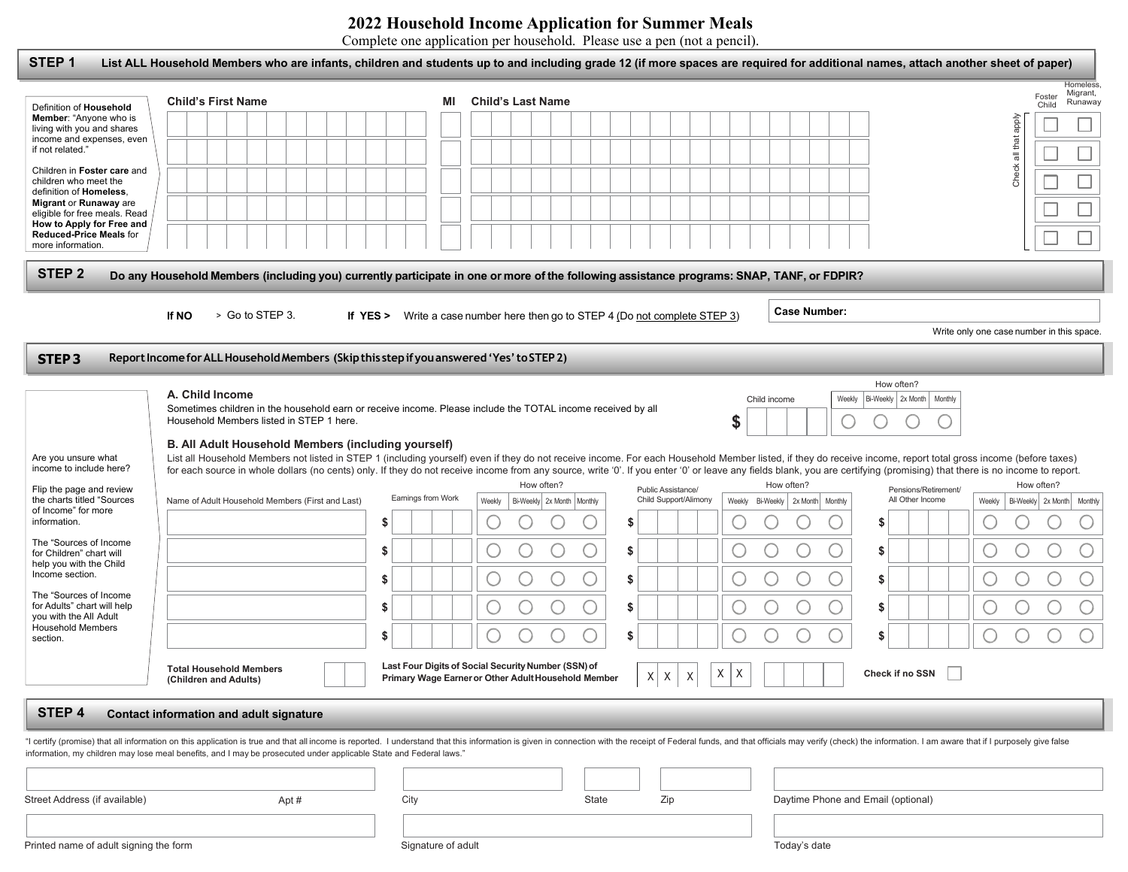## **2022 Household Income Application for Summer Meals**

Complete one application per household. Please use a pen (not a pencil).

| STEP <sub>1</sub>                                                                            | List ALL Household Members who are infants, children and students up to and including grade 12 (if more spaces are required for additional names, attach another sheet of paper)                                                                                      |                    |    |                                                                              |                              |                       |   |   |        |                            |              |                     |                                    |                            |                                           |                      |                            |                                        |
|----------------------------------------------------------------------------------------------|-----------------------------------------------------------------------------------------------------------------------------------------------------------------------------------------------------------------------------------------------------------------------|--------------------|----|------------------------------------------------------------------------------|------------------------------|-----------------------|---|---|--------|----------------------------|--------------|---------------------|------------------------------------|----------------------------|-------------------------------------------|----------------------|----------------------------|----------------------------------------|
|                                                                                              | <b>Child's First Name</b>                                                                                                                                                                                                                                             |                    | ΜI | <b>Child's Last Name</b>                                                     |                              |                       |   |   |        |                            |              |                     |                                    |                            |                                           |                      | Foster<br>Child            | <b>Homeless</b><br>Migrant,<br>Runaway |
| Definition of Household<br>Member: "Anyone who is<br>living with you and shares              |                                                                                                                                                                                                                                                                       |                    |    |                                                                              |                              |                       |   |   |        |                            |              |                     |                                    |                            |                                           |                      |                            |                                        |
| income and expenses, even<br>if not related."                                                |                                                                                                                                                                                                                                                                       |                    |    |                                                                              |                              |                       |   |   |        |                            |              |                     |                                    |                            |                                           | Check all that apply |                            |                                        |
| Children in Foster care and<br>children who meet the                                         |                                                                                                                                                                                                                                                                       |                    |    |                                                                              |                              |                       |   |   |        |                            |              |                     |                                    |                            |                                           |                      |                            |                                        |
| definition of Homeless.<br>Migrant or Runaway are                                            |                                                                                                                                                                                                                                                                       |                    |    |                                                                              |                              |                       |   |   |        |                            |              |                     |                                    |                            |                                           |                      |                            |                                        |
| eligible for free meals. Read<br>How to Apply for Free and<br><b>Reduced-Price Meals for</b> |                                                                                                                                                                                                                                                                       |                    |    |                                                                              |                              |                       |   |   |        |                            |              |                     |                                    |                            |                                           |                      |                            |                                        |
| more information.                                                                            |                                                                                                                                                                                                                                                                       |                    |    |                                                                              |                              |                       |   |   |        |                            |              |                     |                                    |                            |                                           |                      |                            |                                        |
| STEP <sub>2</sub>                                                                            | Do any Household Members (including you) currently participate in one or more of the following assistance programs: SNAP, TANF, or FDPIR?                                                                                                                             |                    |    |                                                                              |                              |                       |   |   |        |                            |              |                     |                                    |                            |                                           |                      |                            |                                        |
|                                                                                              | If NO<br>> Go to STEP 3.                                                                                                                                                                                                                                              |                    |    | If YES > Write a case number here then go to STEP 4 (Do not complete STEP 3) |                              |                       |   |   |        |                            |              | <b>Case Number:</b> |                                    |                            |                                           |                      |                            |                                        |
|                                                                                              |                                                                                                                                                                                                                                                                       |                    |    |                                                                              |                              |                       |   |   |        |                            |              |                     |                                    |                            | Write only one case number in this space. |                      |                            |                                        |
| <b>STEP3</b>                                                                                 | Report Income for ALL Household Members (Skip this step if you answered 'Yes' to STEP 2)                                                                                                                                                                              |                    |    |                                                                              |                              |                       |   |   |        |                            |              |                     |                                    |                            |                                           |                      |                            |                                        |
|                                                                                              | A. Child Income                                                                                                                                                                                                                                                       |                    |    |                                                                              |                              |                       |   |   |        |                            |              |                     |                                    | How often?                 |                                           |                      |                            |                                        |
|                                                                                              | Sometimes children in the household earn or receive income. Please include the TOTAL income received by all                                                                                                                                                           |                    |    |                                                                              |                              |                       |   |   |        | Child income               |              | Weekly              |                                    | Bi-Weekly 2x Month Monthly |                                           |                      |                            |                                        |
|                                                                                              | Household Members listed in STEP 1 here.                                                                                                                                                                                                                              |                    |    |                                                                              |                              |                       |   |   | \$     |                            |              |                     |                                    |                            |                                           |                      |                            |                                        |
| Are you unsure what                                                                          | B. All Adult Household Members (including yourself)<br>List all Household Members not listed in STEP 1 (including yourself) even if they do not receive income. For each Household Member listed, if they do receive income, report total gross income (before taxes) |                    |    |                                                                              |                              |                       |   |   |        |                            |              |                     |                                    |                            |                                           |                      |                            |                                        |
| income to include here?<br>Flip the page and review                                          | for each source in whole dollars (no cents) only. If they do not receive income from any source, write '0'. If you enter '0' or leave any fields blank, you are certifying (promising) that there is no income to report.                                             |                    |    | How often?                                                                   |                              | Public Assistance/    |   |   |        | How often?                 |              |                     |                                    | Pensions/Retirement/       |                                           |                      | How often?                 |                                        |
| the charts titled "Sources<br>of Income" for more                                            | Name of Adult Household Members (First and Last)                                                                                                                                                                                                                      | Earnings from Work |    | Weekly                                                                       | Bi-Weekly 2x Month   Monthly | Child Support/Alimony |   |   | Weekly | Bi-Weekly 2x Month Monthly |              |                     |                                    | All Other Income           | Weekly                                    |                      | Bi-Weekly 2x Month Monthly |                                        |
| information.                                                                                 |                                                                                                                                                                                                                                                                       | \$                 |    |                                                                              |                              | \$                    |   |   |        |                            |              |                     | S                                  |                            |                                           |                      |                            |                                        |
| The "Sources of Income<br>for Children" chart will<br>help you with the Child                |                                                                                                                                                                                                                                                                       | S                  |    |                                                                              | U                            | \$                    |   |   |        |                            |              | ب                   | S                                  |                            |                                           |                      |                            |                                        |
| Income section.                                                                              |                                                                                                                                                                                                                                                                       | \$                 |    |                                                                              |                              | \$                    |   |   |        |                            |              |                     | \$                                 |                            |                                           |                      |                            |                                        |
| The "Sources of Income"<br>for Adults" chart will help<br>you with the All Adult             |                                                                                                                                                                                                                                                                       | S                  |    |                                                                              |                              | \$                    |   |   |        |                            |              | O                   | S                                  |                            |                                           |                      |                            |                                        |
| <b>Household Members</b><br>section.                                                         |                                                                                                                                                                                                                                                                       | \$                 |    |                                                                              |                              | \$                    |   |   |        |                            |              |                     | S                                  |                            |                                           |                      |                            |                                        |
|                                                                                              | <b>Total Household Members</b>                                                                                                                                                                                                                                        |                    |    | Last Four Digits of Social Security Number (SSN) of                          |                              |                       |   |   |        |                            |              |                     |                                    |                            |                                           |                      |                            |                                        |
|                                                                                              | (Children and Adults)                                                                                                                                                                                                                                                 |                    |    | Primary Wage Earner or Other Adult Household Member                          |                              | XX                    | X | X | X      |                            |              |                     |                                    | Check if no SSN            |                                           |                      |                            |                                        |
| STEP 4                                                                                       | <b>Contact information and adult signature</b>                                                                                                                                                                                                                        |                    |    |                                                                              |                              |                       |   |   |        |                            |              |                     |                                    |                            |                                           |                      |                            |                                        |
|                                                                                              | "I certify (promise) that all information on this application is true and that all income is reported. I understand that this information is given in connection with the receipt of Federal funds, and that officials may ver                                        |                    |    |                                                                              |                              |                       |   |   |        |                            |              |                     |                                    |                            |                                           |                      |                            |                                        |
|                                                                                              | information, my children may lose meal benefits, and I may be prosecuted under applicable State and Federal laws."                                                                                                                                                    |                    |    |                                                                              |                              |                       |   |   |        |                            |              |                     |                                    |                            |                                           |                      |                            |                                        |
|                                                                                              |                                                                                                                                                                                                                                                                       |                    |    |                                                                              |                              |                       |   |   |        |                            |              |                     |                                    |                            |                                           |                      |                            |                                        |
| Street Address (if available)                                                                | Apt#                                                                                                                                                                                                                                                                  | City               |    |                                                                              | State                        | Zip                   |   |   |        |                            |              |                     | Daytime Phone and Email (optional) |                            |                                           |                      |                            |                                        |
|                                                                                              |                                                                                                                                                                                                                                                                       |                    |    |                                                                              |                              |                       |   |   |        |                            |              |                     |                                    |                            |                                           |                      |                            |                                        |
| Printed name of adult signing the form                                                       |                                                                                                                                                                                                                                                                       | Signature of adult |    |                                                                              |                              |                       |   |   |        |                            | Today's date |                     |                                    |                            |                                           |                      |                            |                                        |